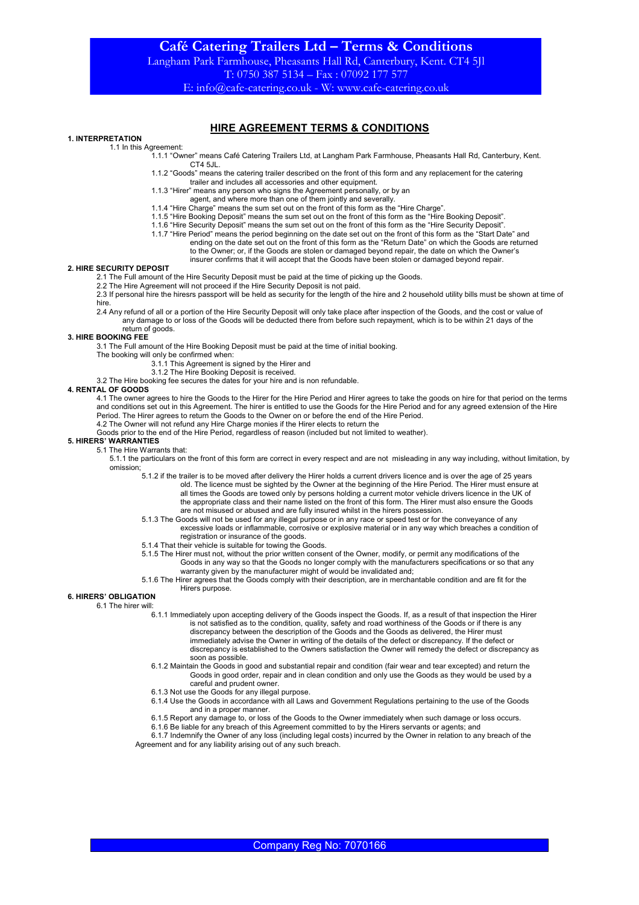Langham Park Farmhouse, Pheasants Hall Rd, Canterbury, Kent. CT4 5Jl T: 0750 387 5134 – Fax : 07092 177 577

E: info@cafe-catering.co.uk - W: www.cafe-catering.co.uk

# HIRE AGREEMENT TERMS & CONDITIONS

## 1. INTERPRETATION

1.1 In this Agreement:

- 1.1.1 "Owner" means Café Catering Trailers Ltd, at Langham Park Farmhouse, Pheasants Hall Rd, Canterbury, Kent. CT4 5JL.
- 1.1.2 "Goods" means the catering trailer described on the front of this form and any replacement for the catering
- trailer and includes all accessories and other equipment.
- 1.1.3 "Hirer" means any person who signs the Agreement personally, or by an
- agent, and where more than one of them jointly and severally. 1.1.4 "Hire Charge" means the sum set out on the front of this form as the "Hire Charge".
- 
- 1.1.5 "Hire Booking Deposit" means the sum set out on the front of this form as the "Hire Booking Deposit".
- 1.1.6 "Hire Security Deposit" means the sum set out on the front of this form as the "Hire Security Deposit".
- 1.1.7 "Hire Period" means the period beginning on the date set out on the front of this form as the "Start Date" and ending on the date set out on the front of this form as the "Return Date" on which the Goods are returned to the Owner; or, if the Goods are stolen or damaged beyond repair, the date on which the Owner's
	- insurer confirms that it will accept that the Goods have been stolen or damaged beyond repair.

### 2. HIRE SECURITY DEPOSIT

- 2.1 The Full amount of the Hire Security Deposit must be paid at the time of picking up the Goods.
- 2.2 The Hire Agreement will not proceed if the Hire Security Deposit is not paid.
- 2.3 If personal hire the hiresrs passport will be held as security for the length of the hire and 2 household utility bills must be shown at time of hire.
- 2.4 Any refund of all or a portion of the Hire Security Deposit will only take place after inspection of the Goods, and the cost or value of any damage to or loss of the Goods will be deducted there from before such repayment, which is to be within 21 days of the

#### return of goods. 3. HIRE BOOKING FEE

3.1 The Full amount of the Hire Booking Deposit must be paid at the time of initial booking.

The booking will only be confirmed when:

- 3.1.1 This Agreement is signed by the Hirer and
- 3.1.2 The Hire Booking Deposit is received.
- 3.2 The Hire booking fee secures the dates for your hire and is non refundable.

### 4. RENTAL OF GOODS

4.1 The owner agrees to hire the Goods to the Hirer for the Hire Period and Hirer agrees to take the goods on hire for that period on the terms and conditions set out in this Agreement. The hirer is entitled to use the Goods for the Hire Period and for any agreed extension of the Hire Period. The Hirer agrees to return the Goods to the Owner on or before the end of the Hire Period. 4.2 The Owner will not refund any Hire Charge monies if the Hirer elects to return the

Goods prior to the end of the Hire Period, regardless of reason (included but not limited to weather).

## 5. HIRERS' WARRANTIES

5.1 The Hire Warrants that:

- 5.1.1 the particulars on the front of this form are correct in every respect and are not misleading in any way including, without limitation, by omission;
	- 5.1.2 if the trailer is to be moved after delivery the Hirer holds a current drivers licence and is over the age of 25 years old. The licence must be sighted by the Owner at the beginning of the Hire Period. The Hirer must ensure at all times the Goods are towed only by persons holding a current motor vehicle drivers licence in the UK of the appropriate class and their name listed on the front of this form. The Hirer must also ensure the Goods are not misused or abused and are fully insured whilst in the hirers possession.
	- 5.1.3 The Goods will not be used for any illegal purpose or in any race or speed test or for the conveyance of any excessive loads or inflammable, corrosive or explosive material or in any way which breaches a condition of registration or insurance of the goods.
	- 5.1.4 That their vehicle is suitable for towing the Goods.
	- 5.1.5 The Hirer must not, without the prior written consent of the Owner, modify, or permit any modifications of the Goods in any way so that the Goods no longer comply with the manufacturers specifications or so that any warranty given by the manufacturer might of would be invalidated and;
	- 5.1.6 The Hirer agrees that the Goods comply with their description, are in merchantable condition and are fit for the Hirers purpose.

### 6. HIRERS' OBLIGATION

6.1 The hirer will:

- 6.1.1 Immediately upon accepting delivery of the Goods inspect the Goods. If, as a result of that inspection the Hirer is not satisfied as to the condition, quality, safety and road worthiness of the Goods or if there is any discrepancy between the description of the Goods and the Goods as delivered, the Hirer must immediately advise the Owner in writing of the details of the defect or discrepancy. If the defect or discrepancy is established to the Owners satisfaction the Owner will remedy the defect or discrepancy as soon as possible.
- 6.1.2 Maintain the Goods in good and substantial repair and condition (fair wear and tear excepted) and return the Goods in good order, repair and in clean condition and only use the Goods as they would be used by a careful and prudent owner.
- 6.1.3 Not use the Goods for any illegal purpose.
- 6.1.4 Use the Goods in accordance with all Laws and Government Regulations pertaining to the use of the Goods and in a proper manner.
- 6.1.5 Report any damage to, or loss of the Goods to the Owner immediately when such damage or loss occurs.
- 6.1.6 Be liable for any breach of this Agreement committed to by the Hirers servants or agents; and

6.1.7 Indemnify the Owner of any loss (including legal costs) incurred by the Owner in relation to any breach of the Agreement and for any liability arising out of any such breach.